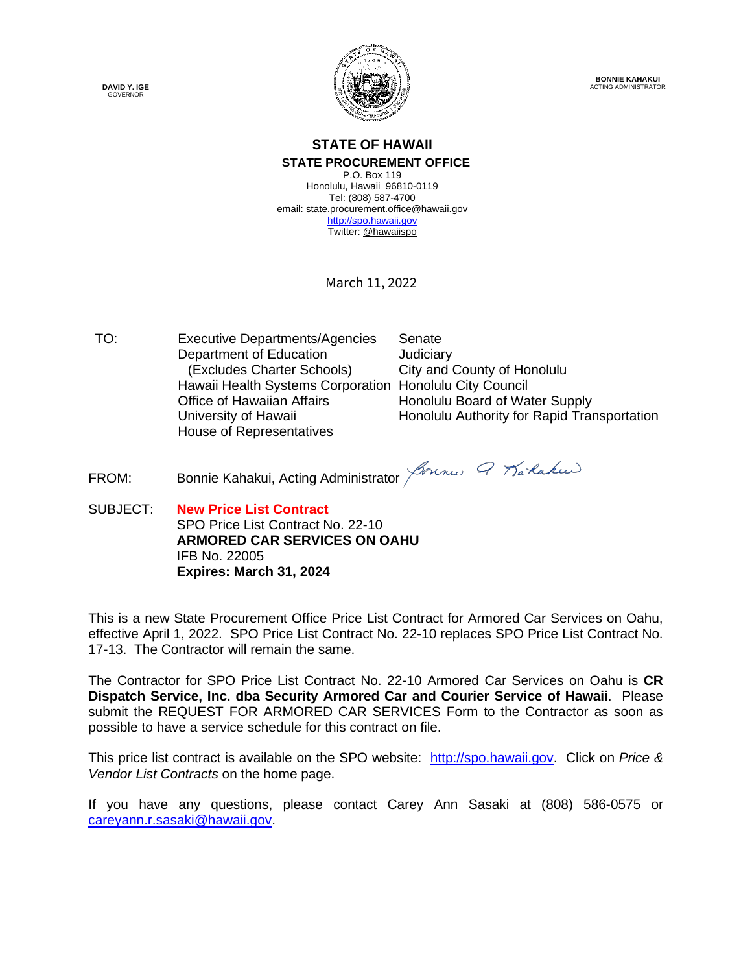**DAVID Y. IGE** GOVERNOR



**BONNIE KAHAKUI** ACTING ADMINISTRATOR

#### **STATE OF HAWAII STATE PROCUREMENT OFFICE**

P.O. Box 119 Honolulu, Hawaii 96810-0119 Tel: (808) 587-4700 email: state.procurement.office@hawaii.gov [http://spo.hawaii.gov](http://spo.hawaii.gov/) Twitter[: @hawaiispo](https://twitter.com/hawaiispo)

March 11, 2022

TO: Executive Departments/Agencies Senate Department of Education **Judiciary** (Excludes Charter Schools) City and County of Honolulu Hawaii Health Systems Corporation Honolulu City Council Office of Hawaiian Affairs Honolulu Board of Water Supply University of Hawaii **Honolulu Authority for Rapid Transportation** House of Representatives

FROM: Bonnie Kahakui, Acting Administrator Journe Q Karlakus

SUBJECT: **New Price List Contract** SPO Price List Contract No. 22-10 **ARMORED CAR SERVICES ON OAHU** IFB No. 22005 **Expires: March 31, 2024**

This is a new State Procurement Office Price List Contract for Armored Car Services on Oahu, effective April 1, 2022. SPO Price List Contract No. 22-10 replaces SPO Price List Contract No. 17-13. The Contractor will remain the same.

The Contractor for SPO Price List Contract No. 22-10 Armored Car Services on Oahu is **CR Dispatch Service, Inc. dba Security Armored Car and Courier Service of Hawaii**. Please submit the REQUEST FOR ARMORED CAR SERVICES Form to the Contractor as soon as possible to have a service schedule for this contract on file.

This price list contract is available on the SPO website: [http://spo.hawaii.gov.](http://spo.hawaii.gov/) Click on *Price & Vendor List Contracts* on the home page.

If you have any questions, please contact Carey Ann Sasaki at (808) 586-0575 or [careyann.r.sasaki@hawaii.gov.](mailto:careyann.r.sasaki@hawaii.gov)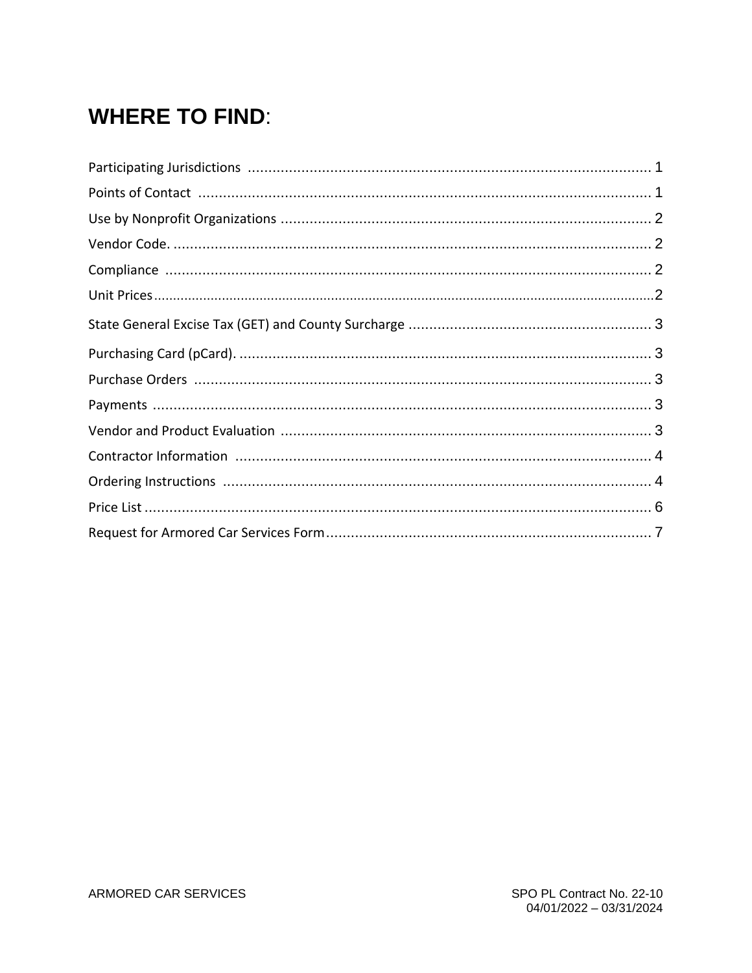# **WHERE TO FIND:**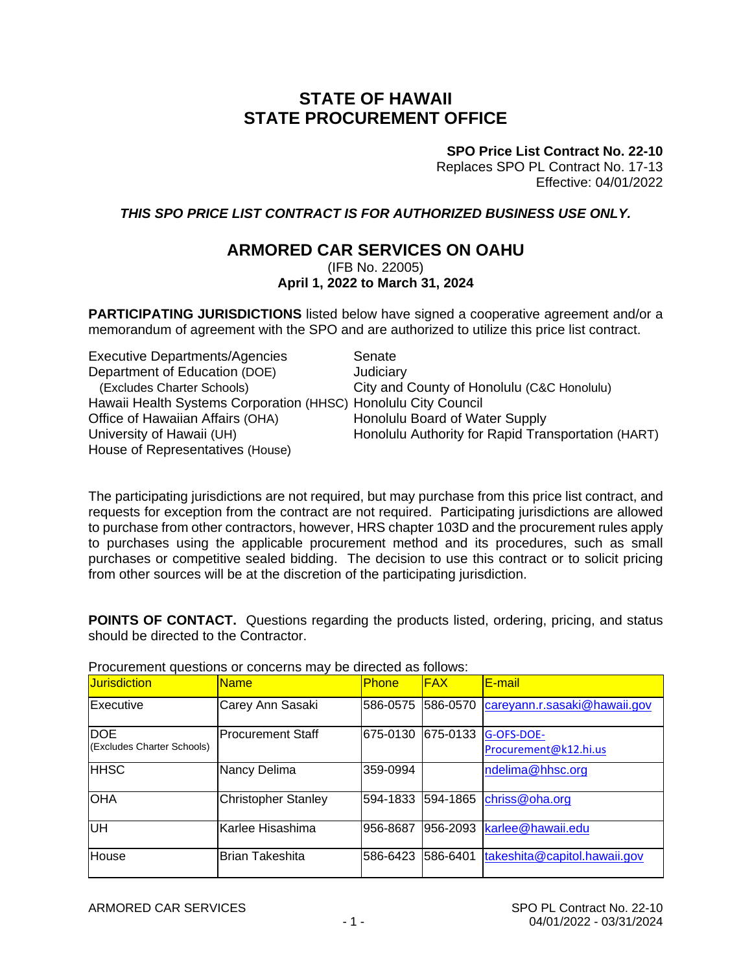## **STATE OF HAWAII STATE PROCUREMENT OFFICE**

**SPO Price List Contract No. 22-10**

Replaces SPO PL Contract No. 17-13 Effective: 04/01/2022

*THIS SPO PRICE LIST CONTRACT IS FOR AUTHORIZED BUSINESS USE ONLY.*

## **ARMORED CAR SERVICES ON OAHU**

(IFB No. 22005) **April 1, 2022 to March 31, 2024**

**PARTICIPATING JURISDICTIONS** listed below have signed a cooperative agreement and/or a memorandum of agreement with the SPO and are authorized to utilize this price list contract.

| <b>Executive Departments/Agencies</b>                          | Senate                                             |
|----------------------------------------------------------------|----------------------------------------------------|
| Department of Education (DOE)                                  | Judiciary                                          |
| (Excludes Charter Schools)                                     | City and County of Honolulu (C&C Honolulu)         |
| Hawaii Health Systems Corporation (HHSC) Honolulu City Council |                                                    |
| Office of Hawaiian Affairs (OHA)                               | Honolulu Board of Water Supply                     |
| University of Hawaii (UH)                                      | Honolulu Authority for Rapid Transportation (HART) |
| House of Representatives (House)                               |                                                    |

The participating jurisdictions are not required, but may purchase from this price list contract, and requests for exception from the contract are not required. Participating jurisdictions are allowed to purchase from other contractors, however, HRS chapter 103D and the procurement rules apply to purchases using the applicable procurement method and its procedures, such as small purchases or competitive sealed bidding. The decision to use this contract or to solicit pricing from other sources will be at the discretion of the participating jurisdiction.

**POINTS OF CONTACT.** Questions regarding the products listed, ordering, pricing, and status should be directed to the Contractor.

| <b>Jurisdiction</b>                      | <b>Name</b>                | <b>Phone</b> | <b>FAX</b> | <u>IE-mail</u>                      |
|------------------------------------------|----------------------------|--------------|------------|-------------------------------------|
| Executive                                | Carey Ann Sasaki           | 586-0575     | 586-0570   | careyann.r.sasaki@hawaii.gov        |
| <b>DOE</b><br>(Excludes Charter Schools) | <b>Procurement Staff</b>   | 675-0130     | 675-0133   | G-OFS-DOE-<br>Procurement@k12.hi.us |
| <b>HHSC</b>                              | Nancy Delima               | 359-0994     |            | ndelima@hhsc.org                    |
| <b>OHA</b>                               | <b>Christopher Stanley</b> | 594-1833     | 594-1865   | chriss@oha.org                      |
| luн                                      | Karlee Hisashima           | 956-8687     |            | 956-2093 karlee@hawaii.edu          |
| House                                    | <b>Brian Takeshita</b>     | 586-6423     | 586-6401   | takeshita@capitol.hawaii.gov        |

Procurement questions or concerns may be directed as follows: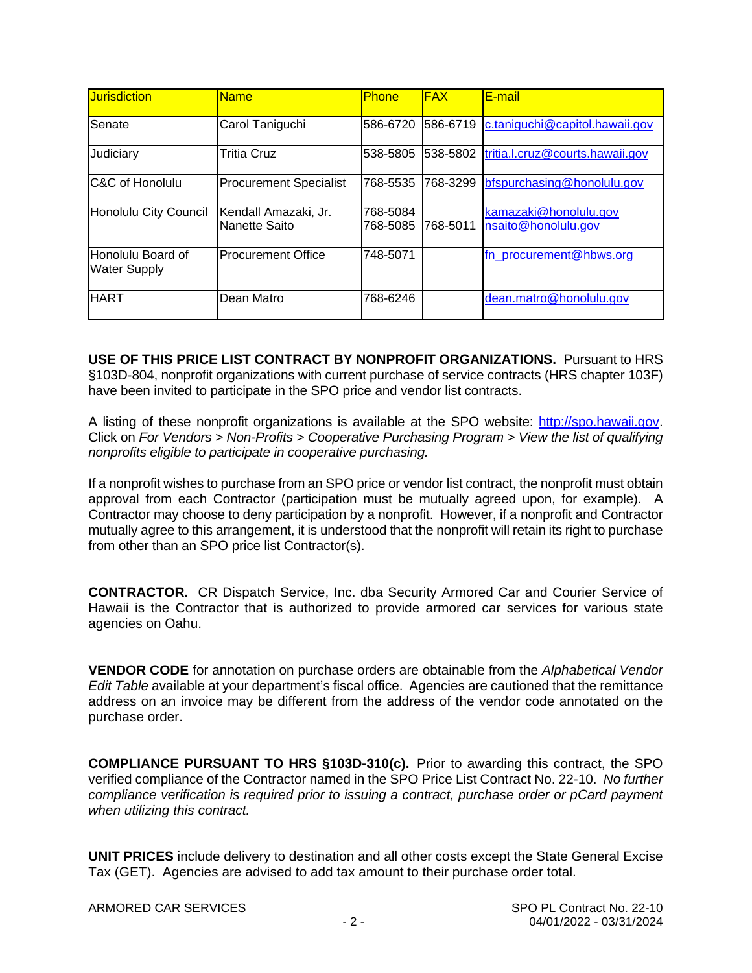| <b>Jurisdiction</b>                      | <b>Name</b>                           | <b>Phone</b>         | <b>FAX</b> | E-mail                                       |
|------------------------------------------|---------------------------------------|----------------------|------------|----------------------------------------------|
| Senate                                   | Carol Taniguchi                       | 586-6720             | 586-6719   | c.taniquchi@capitol.hawaii.gov               |
| Judiciary                                | Tritia Cruz                           | 538-5805             | 538-5802   | tritia.l.cruz@courts.hawaii.gov              |
| IC&C of Honolulu                         | <b>Procurement Specialist</b>         | 768-5535             | 768-3299   | bfspurchasing@honolulu.gov                   |
| Honolulu City Council                    | Kendall Amazaki, Jr.<br>Nanette Saito | 768-5084<br>768-5085 | 768-5011   | kamazaki@honolulu.gov<br>nsaito@honolulu.gov |
| Honolulu Board of<br><b>Water Supply</b> | lProcurement Office                   | 748-5071             |            | fn procurement@hbws.org                      |
| <b>HART</b>                              | Dean Matro                            | 768-6246             |            | dean.matro@honolulu.gov                      |

**USE OF THIS PRICE LIST CONTRACT BY NONPROFIT ORGANIZATIONS.** Pursuant to HRS §103D-804, nonprofit organizations with current purchase of service contracts (HRS chapter 103F) have been invited to participate in the SPO price and vendor list contracts.

A listing of these nonprofit organizations is available at the SPO website: [http://spo.hawaii.gov.](http://spo.hawaii.gov/) Click on *For Vendors > Non-Profits > Cooperative Purchasing Program > View the list of qualifying nonprofits eligible to participate in cooperative purchasing.*

If a nonprofit wishes to purchase from an SPO price or vendor list contract, the nonprofit must obtain approval from each Contractor (participation must be mutually agreed upon, for example). A Contractor may choose to deny participation by a nonprofit. However, if a nonprofit and Contractor mutually agree to this arrangement, it is understood that the nonprofit will retain its right to purchase from other than an SPO price list Contractor(s).

**CONTRACTOR.** CR Dispatch Service, Inc. dba Security Armored Car and Courier Service of Hawaii is the Contractor that is authorized to provide armored car services for various state agencies on Oahu.

**VENDOR CODE** for annotation on purchase orders are obtainable from the *Alphabetical Vendor Edit Table* available at your department's fiscal office. Agencies are cautioned that the remittance address on an invoice may be different from the address of the vendor code annotated on the purchase order.

**COMPLIANCE PURSUANT TO HRS §103D-310(c).** Prior to awarding this contract, the SPO verified compliance of the Contractor named in the SPO Price List Contract No. 22-10. *No further compliance verification is required prior to issuing a contract, purchase order or pCard payment when utilizing this contract.*

**UNIT PRICES** include delivery to destination and all other costs except the State General Excise Tax (GET). Agencies are advised to add tax amount to their purchase order total.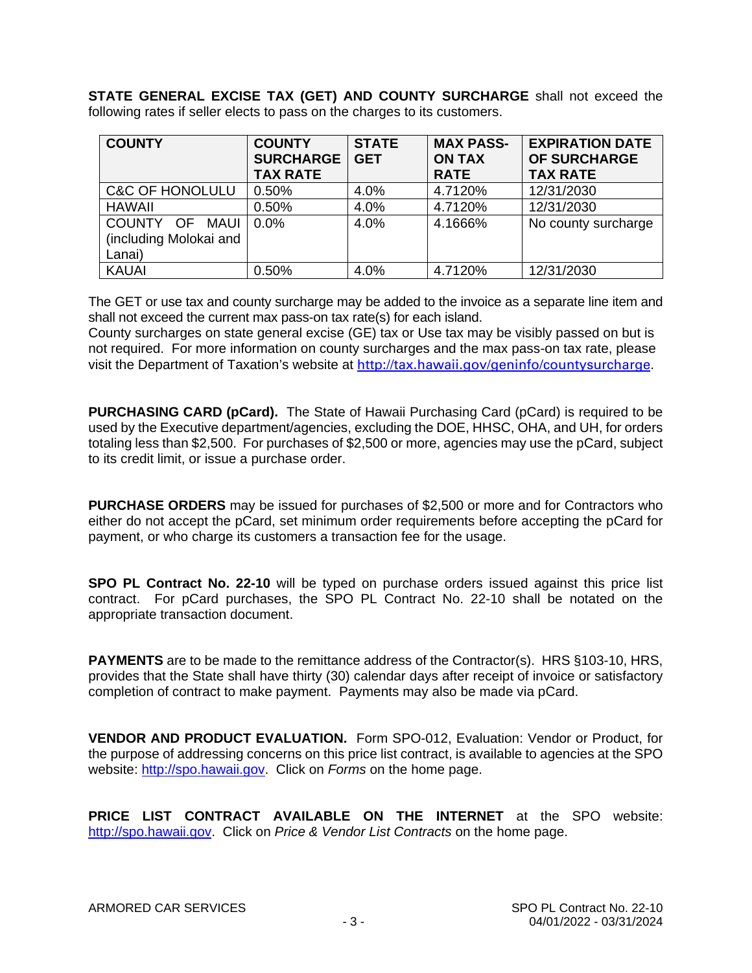**STATE GENERAL EXCISE TAX (GET) AND COUNTY SURCHARGE** shall not exceed the following rates if seller elects to pass on the charges to its customers.

| <b>COUNTY</b>                                      | <b>COUNTY</b><br><b>SURCHARGE</b><br><b>TAX RATE</b> | <b>STATE</b><br><b>GET</b> | <b>MAX PASS-</b><br><b>ON TAX</b><br><b>RATE</b> | <b>EXPIRATION DATE</b><br>OF SURCHARGE<br><b>TAX RATE</b> |
|----------------------------------------------------|------------------------------------------------------|----------------------------|--------------------------------------------------|-----------------------------------------------------------|
| <b>C&amp;C OF HONOLULU</b>                         | 0.50%                                                | 4.0%                       | 4.7120%                                          | 12/31/2030                                                |
| <b>HAWAII</b>                                      | 0.50%                                                | 4.0%                       | 4.7120%                                          | 12/31/2030                                                |
| COUNTY OF MAUI<br>(including Molokai and<br>Lanai) | $0.0\%$                                              | 4.0%                       | 4.1666%                                          | No county surcharge                                       |
| <b>KAUAI</b>                                       | 0.50%                                                | 4.0%                       | 4.7120%                                          | 12/31/2030                                                |

The GET or use tax and county surcharge may be added to the invoice as a separate line item and shall not exceed the current max pass-on tax rate(s) for each island.

County surcharges on state general excise (GE) tax or Use tax may be visibly passed on but is not required. For more information on county surcharges and the max pass-on tax rate, please visit the Department of Taxation's website at <http://tax.hawaii.gov/geninfo/countysurcharge>.

**PURCHASING CARD (pCard).** The State of Hawaii Purchasing Card (pCard) is required to be used by the Executive department/agencies, excluding the DOE, HHSC, OHA, and UH, for orders totaling less than \$2,500. For purchases of \$2,500 or more, agencies may use the pCard, subject to its credit limit, or issue a purchase order.

**PURCHASE ORDERS** may be issued for purchases of \$2,500 or more and for Contractors who either do not accept the pCard, set minimum order requirements before accepting the pCard for payment, or who charge its customers a transaction fee for the usage.

**SPO PL Contract No. 22-10** will be typed on purchase orders issued against this price list contract. For pCard purchases, the SPO PL Contract No. 22-10 shall be notated on the appropriate transaction document.

**PAYMENTS** are to be made to the remittance address of the Contractor(s). HRS §103-10, HRS, provides that the State shall have thirty (30) calendar days after receipt of invoice or satisfactory completion of contract to make payment. Payments may also be made via pCard.

**VENDOR AND PRODUCT EVALUATION.** Form SPO-012, Evaluation: Vendor or Product, for the purpose of addressing concerns on this price list contract, is available to agencies at the SPO website: [http://spo.hawaii.gov.](http://spo.hawaii.gov/) Click on *Forms* on the home page.

**PRICE LIST CONTRACT AVAILABLE ON THE INTERNET** at the SPO website: [http://spo.hawaii.gov.](http://spo.hawaii.gov/) Click on *Price & Vendor List Contracts* on the home page.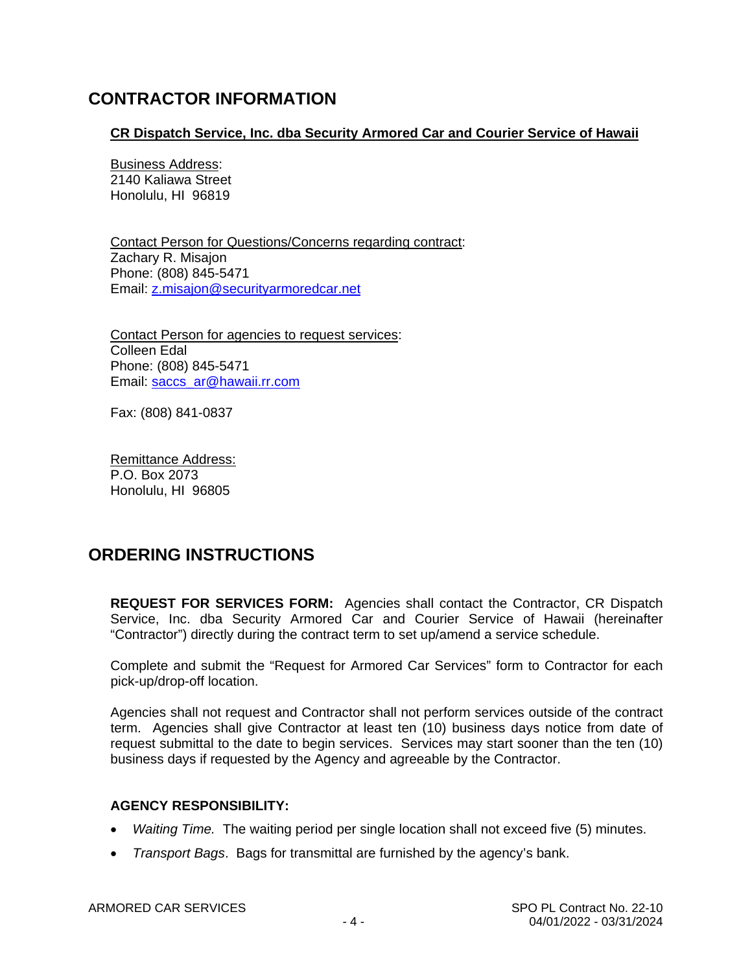## **CONTRACTOR INFORMATION**

#### **CR Dispatch Service, Inc. dba Security Armored Car and Courier Service of Hawaii**

Business Address: 2140 Kaliawa Street Honolulu, HI 96819

Contact Person for Questions/Concerns regarding contract: Zachary R. Misajon Phone: (808) 845-5471 Email: [z.misajon@securityarmoredcar.net](mailto:z.misajon@securityarmoredcar.net)

Contact Person for agencies to request services: Colleen Edal Phone: (808) 845-5471 Email: [saccs\\_ar@hawaii.rr.com](mailto:saccs_ar@hawaii.rr.com)

Fax: (808) 841-0837

Remittance Address: P.O. Box 2073 Honolulu, HI 96805

## **ORDERING INSTRUCTIONS**

**REQUEST FOR SERVICES FORM:** Agencies shall contact the Contractor, CR Dispatch Service, Inc. dba Security Armored Car and Courier Service of Hawaii (hereinafter "Contractor") directly during the contract term to set up/amend a service schedule.

Complete and submit the "Request for Armored Car Services" form to Contractor for each pick-up/drop-off location.

Agencies shall not request and Contractor shall not perform services outside of the contract term. Agencies shall give Contractor at least ten (10) business days notice from date of request submittal to the date to begin services. Services may start sooner than the ten (10) business days if requested by the Agency and agreeable by the Contractor.

#### **AGENCY RESPONSIBILITY:**

- *Waiting Time.* The waiting period per single location shall not exceed five (5) minutes.
- *Transport Bags*. Bags for transmittal are furnished by the agency's bank.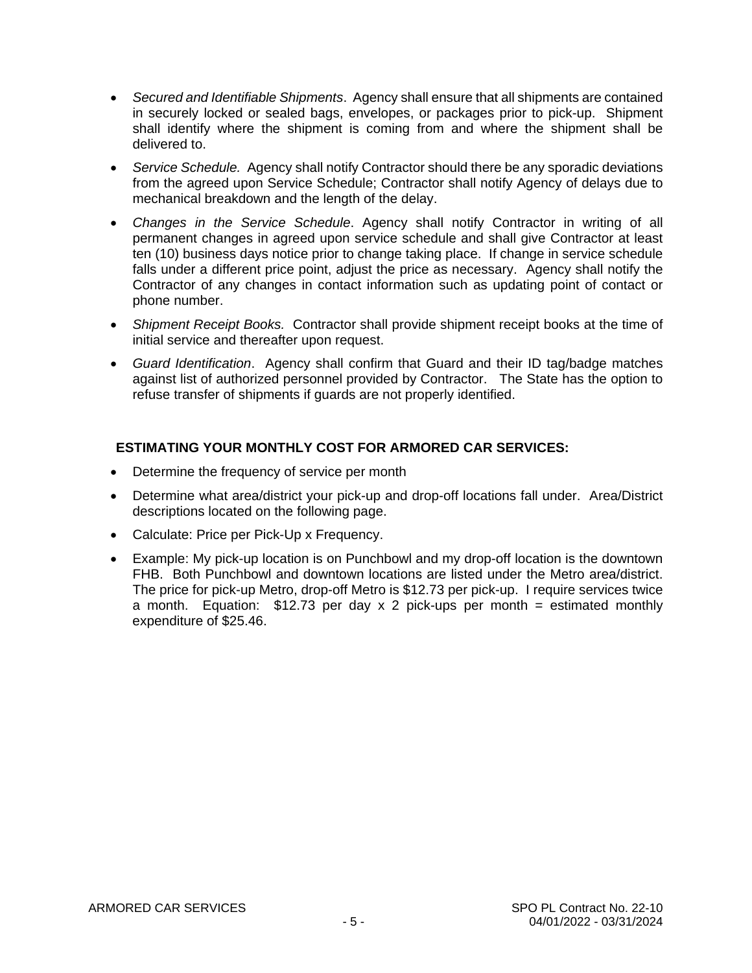- *Secured and Identifiable Shipments*. Agency shall ensure that all shipments are contained in securely locked or sealed bags, envelopes, or packages prior to pick-up. Shipment shall identify where the shipment is coming from and where the shipment shall be delivered to.
- *Service Schedule.* Agency shall notify Contractor should there be any sporadic deviations from the agreed upon Service Schedule; Contractor shall notify Agency of delays due to mechanical breakdown and the length of the delay.
- *Changes in the Service Schedule*. Agency shall notify Contractor in writing of all permanent changes in agreed upon service schedule and shall give Contractor at least ten (10) business days notice prior to change taking place. If change in service schedule falls under a different price point, adjust the price as necessary. Agency shall notify the Contractor of any changes in contact information such as updating point of contact or phone number.
- *Shipment Receipt Books.* Contractor shall provide shipment receipt books at the time of initial service and thereafter upon request.
- *Guard Identification*. Agency shall confirm that Guard and their ID tag/badge matches against list of authorized personnel provided by Contractor. The State has the option to refuse transfer of shipments if guards are not properly identified.

#### **ESTIMATING YOUR MONTHLY COST FOR ARMORED CAR SERVICES:**

- Determine the frequency of service per month
- Determine what area/district your pick-up and drop-off locations fall under. Area/District descriptions located on the following page.
- Calculate: Price per Pick-Up x Frequency.
- Example: My pick-up location is on Punchbowl and my drop-off location is the downtown FHB. Both Punchbowl and downtown locations are listed under the Metro area/district. The price for pick-up Metro, drop-off Metro is \$12.73 per pick-up. I require services twice a month. Equation:  $$12.73$  per day x 2 pick-ups per month = estimated monthly expenditure of \$25.46.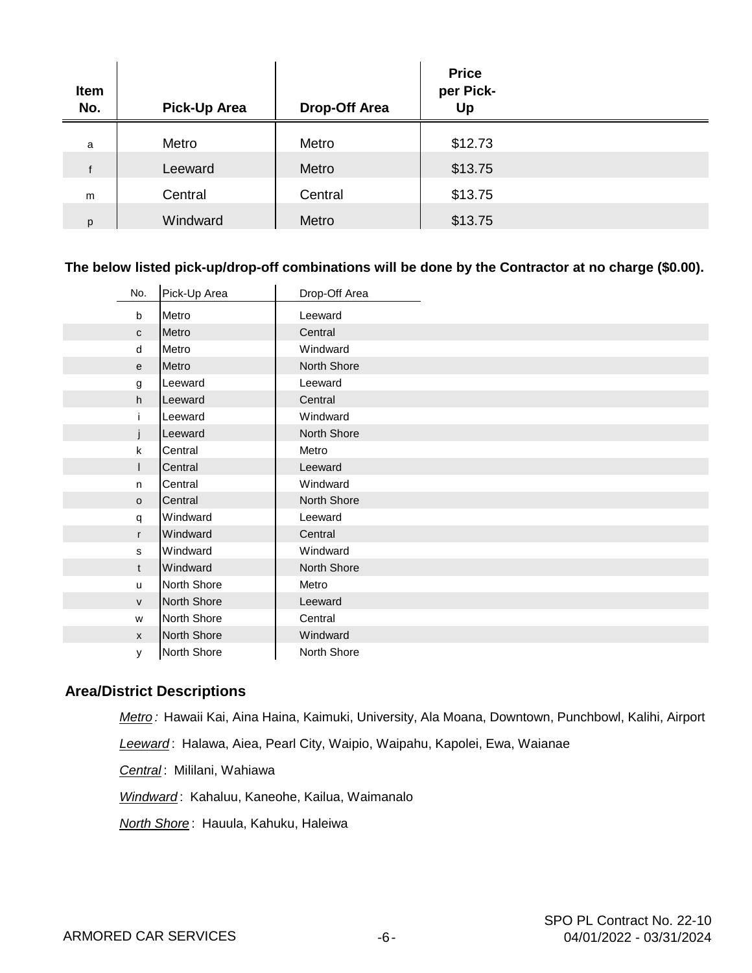| Item<br>No.  | <b>Pick-Up Area</b> | <b>Drop-Off Area</b> | <b>Price</b><br>per Pick-<br>Up |  |
|--------------|---------------------|----------------------|---------------------------------|--|
| a            | Metro               | Metro                | \$12.73                         |  |
| $\mathbf{f}$ | Leeward             | Metro                | \$13.75                         |  |
| m            | Central             | Central              | \$13.75                         |  |
| p            | Windward            | Metro                | \$13.75                         |  |

#### **The below listed pick-up/drop-off combinations will be done by the Contractor at no charge (\$0.00).**

| No.          | Pick-Up Area | Drop-Off Area |
|--------------|--------------|---------------|
| b            | Metro        | Leeward       |
| $\mathtt{C}$ | Metro        | Central       |
| d            | Metro        | Windward      |
| e            | Metro        | North Shore   |
| g            | Leeward      | Leeward       |
| h            | Leeward      | Central       |
| İ.           | Leeward      | Windward      |
|              | Leeward      | North Shore   |
| $\mathsf{k}$ | Central      | Metro         |
| $\mathbf{L}$ | Central      | Leeward       |
| n            | Central      | Windward      |
| $\circ$      | Central      | North Shore   |
| q            | Windward     | Leeward       |
| $\mathsf{r}$ | Windward     | Central       |
| s            | Windward     | Windward      |
| $\mathsf{t}$ | Windward     | North Shore   |
| u            | North Shore  | Metro         |
| $\mathsf{V}$ | North Shore  | Leeward       |
| W            | North Shore  | Central       |
| $\mathsf{x}$ | North Shore  | Windward      |
| y            | North Shore  | North Shore   |
|              |              |               |

#### **Area/District Descriptions**

*Metro :* Hawaii Kai, Aina Haina, Kaimuki, University, Ala Moana, Downtown, Punchbowl, Kalihi, Airport

*Leeward* : Halawa, Aiea, Pearl City, Waipio, Waipahu, Kapolei, Ewa, Waianae

*Central* : Mililani, Wahiawa

*Windward* : Kahaluu, Kaneohe, Kailua, Waimanalo

*North Shore* : Hauula, Kahuku, Haleiwa